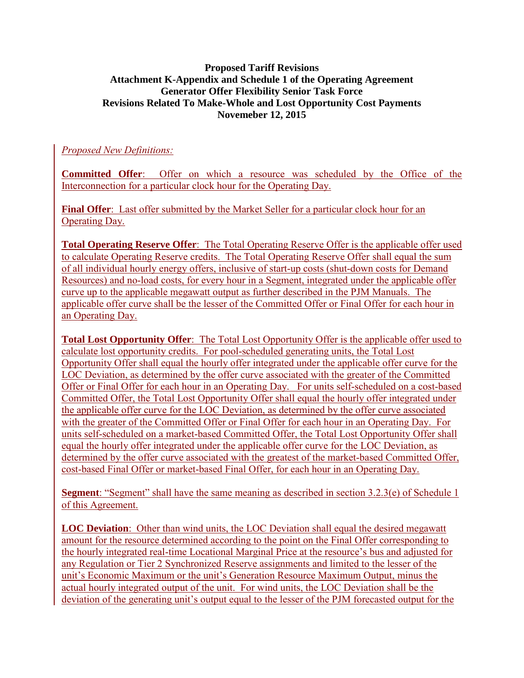#### **Proposed Tariff Revisions Attachment K-Appendix and Schedule 1 of the Operating Agreement Generator Offer Flexibility Senior Task Force Revisions Related To Make-Whole and Lost Opportunity Cost Payments Novemeber 12, 2015**

### *Proposed New Definitions:*

**Committed Offer**: Offer on which a resource was scheduled by the Office of the Interconnection for a particular clock hour for the Operating Day.

**Final Offer**: Last offer submitted by the Market Seller for a particular clock hour for an Operating Day.

**Total Operating Reserve Offer**: The Total Operating Reserve Offer is the applicable offer used to calculate Operating Reserve credits. The Total Operating Reserve Offer shall equal the sum of all individual hourly energy offers, inclusive of start-up costs (shut-down costs for Demand Resources) and no-load costs, for every hour in a Segment, integrated under the applicable offer curve up to the applicable megawatt output as further described in the PJM Manuals. The applicable offer curve shall be the lesser of the Committed Offer or Final Offer for each hour in an Operating Day.

**Total Lost Opportunity Offer**: The Total Lost Opportunity Offer is the applicable offer used to calculate lost opportunity credits. For pool-scheduled generating units, the Total Lost Opportunity Offer shall equal the hourly offer integrated under the applicable offer curve for the LOC Deviation, as determined by the offer curve associated with the greater of the Committed Offer or Final Offer for each hour in an Operating Day. For units self-scheduled on a cost-based Committed Offer, the Total Lost Opportunity Offer shall equal the hourly offer integrated under the applicable offer curve for the LOC Deviation, as determined by the offer curve associated with the greater of the Committed Offer or Final Offer for each hour in an Operating Day. For units self-scheduled on a market-based Committed Offer, the Total Lost Opportunity Offer shall equal the hourly offer integrated under the applicable offer curve for the LOC Deviation, as determined by the offer curve associated with the greatest of the market-based Committed Offer, cost-based Final Offer or market-based Final Offer, for each hour in an Operating Day.

**Segment**: "Segment" shall have the same meaning as described in section 3.2.3(e) of Schedule 1 of this Agreement.

**LOC Deviation**: Other than wind units, the LOC Deviation shall equal the desired megawatt amount for the resource determined according to the point on the Final Offer corresponding to the hourly integrated real-time Locational Marginal Price at the resource's bus and adjusted for any Regulation or Tier 2 Synchronized Reserve assignments and limited to the lesser of the unit's Economic Maximum or the unit's Generation Resource Maximum Output, minus the actual hourly integrated output of the unit. For wind units, the LOC Deviation shall be the deviation of the generating unit's output equal to the lesser of the PJM forecasted output for the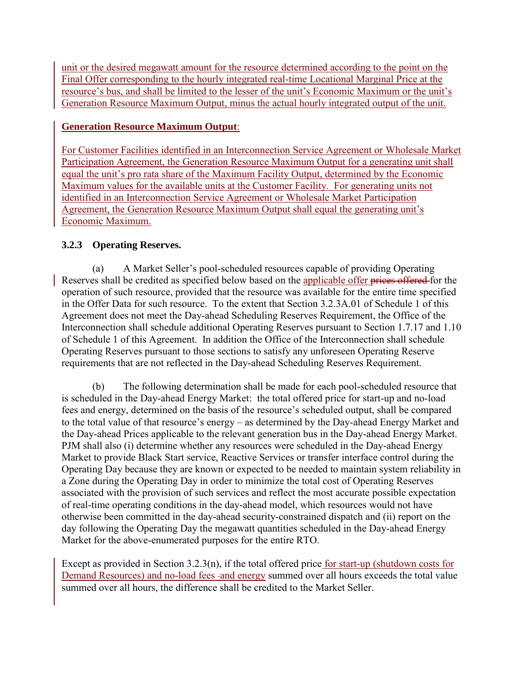unit or the desired megawatt amount for the resource determined according to the point on the Final Offer corresponding to the hourly integrated real-time Locational Marginal Price at the resource's bus, and shall be limited to the lesser of the unit's Economic Maximum or the unit's Generation Resource Maximum Output, minus the actual hourly integrated output of the unit.

# **Generation Resource Maximum Output**:

For Customer Facilities identified in an Interconnection Service Agreement or Wholesale Market Participation Agreement, the Generation Resource Maximum Output for a generating unit shall equal the unit's pro rata share of the Maximum Facility Output, determined by the Economic Maximum values for the available units at the Customer Facility. For generating units not identified in an Interconnection Service Agreement or Wholesale Market Participation Agreement, the Generation Resource Maximum Output shall equal the generating unit's Economic Maximum.

# **3.2.3 Operating Reserves.**

 (a) A Market Seller's pool-scheduled resources capable of providing Operating Reserves shall be credited as specified below based on the applicable offer prices offered for the operation of such resource, provided that the resource was available for the entire time specified in the Offer Data for such resource. To the extent that Section 3.2.3A.01 of Schedule 1 of this Agreement does not meet the Day-ahead Scheduling Reserves Requirement, the Office of the Interconnection shall schedule additional Operating Reserves pursuant to Section 1.7.17 and 1.10 of Schedule 1 of this Agreement. In addition the Office of the Interconnection shall schedule Operating Reserves pursuant to those sections to satisfy any unforeseen Operating Reserve requirements that are not reflected in the Day-ahead Scheduling Reserves Requirement.

 (b) The following determination shall be made for each pool-scheduled resource that is scheduled in the Day-ahead Energy Market: the total offered price for start-up and no-load fees and energy, determined on the basis of the resource's scheduled output, shall be compared to the total value of that resource's energy – as determined by the Day-ahead Energy Market and the Day-ahead Prices applicable to the relevant generation bus in the Day-ahead Energy Market. PJM shall also (i) determine whether any resources were scheduled in the Day-ahead Energy Market to provide Black Start service, Reactive Services or transfer interface control during the Operating Day because they are known or expected to be needed to maintain system reliability in a Zone during the Operating Day in order to minimize the total cost of Operating Reserves associated with the provision of such services and reflect the most accurate possible expectation of real-time operating conditions in the day-ahead model, which resources would not have otherwise been committed in the day-ahead security-constrained dispatch and (ii) report on the day following the Operating Day the megawatt quantities scheduled in the Day-ahead Energy Market for the above-enumerated purposes for the entire RTO.

Except as provided in Section 3.2.3(n), if the total offered price for start-up (shutdown costs for Demand Resources) and no-load fees -and energy summed over all hours exceeds the total value summed over all hours, the difference shall be credited to the Market Seller.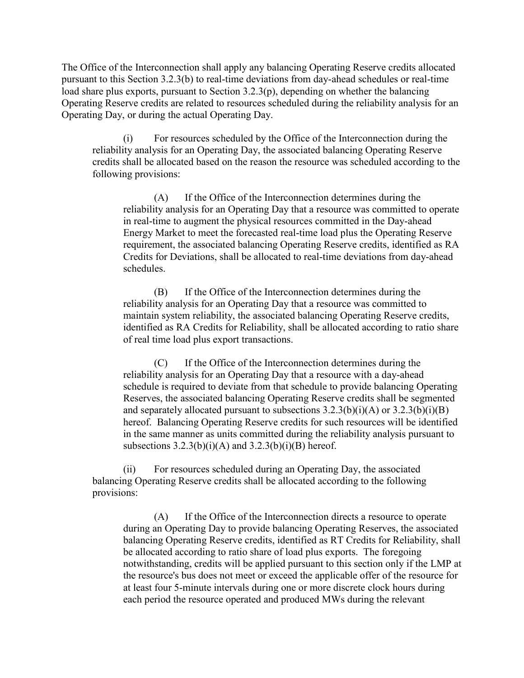The Office of the Interconnection shall apply any balancing Operating Reserve credits allocated pursuant to this Section 3.2.3(b) to real-time deviations from day-ahead schedules or real-time load share plus exports, pursuant to Section 3.2.3(p), depending on whether the balancing Operating Reserve credits are related to resources scheduled during the reliability analysis for an Operating Day, or during the actual Operating Day.

(i) For resources scheduled by the Office of the Interconnection during the reliability analysis for an Operating Day, the associated balancing Operating Reserve credits shall be allocated based on the reason the resource was scheduled according to the following provisions:

(A) If the Office of the Interconnection determines during the reliability analysis for an Operating Day that a resource was committed to operate in real-time to augment the physical resources committed in the Day-ahead Energy Market to meet the forecasted real-time load plus the Operating Reserve requirement, the associated balancing Operating Reserve credits, identified as RA Credits for Deviations, shall be allocated to real-time deviations from day-ahead schedules.

(B) If the Office of the Interconnection determines during the reliability analysis for an Operating Day that a resource was committed to maintain system reliability, the associated balancing Operating Reserve credits, identified as RA Credits for Reliability, shall be allocated according to ratio share of real time load plus export transactions.

(C) If the Office of the Interconnection determines during the reliability analysis for an Operating Day that a resource with a day-ahead schedule is required to deviate from that schedule to provide balancing Operating Reserves, the associated balancing Operating Reserve credits shall be segmented and separately allocated pursuant to subsections  $3.2.3(b)(i)(A)$  or  $3.2.3(b)(i)(B)$ hereof. Balancing Operating Reserve credits for such resources will be identified in the same manner as units committed during the reliability analysis pursuant to subsections  $3.2.3(b)(i)(A)$  and  $3.2.3(b)(i)(B)$  hereof.

(ii) For resources scheduled during an Operating Day, the associated balancing Operating Reserve credits shall be allocated according to the following provisions:

(A) If the Office of the Interconnection directs a resource to operate during an Operating Day to provide balancing Operating Reserves, the associated balancing Operating Reserve credits, identified as RT Credits for Reliability, shall be allocated according to ratio share of load plus exports. The foregoing notwithstanding, credits will be applied pursuant to this section only if the LMP at the resource's bus does not meet or exceed the applicable offer of the resource for at least four 5-minute intervals during one or more discrete clock hours during each period the resource operated and produced MWs during the relevant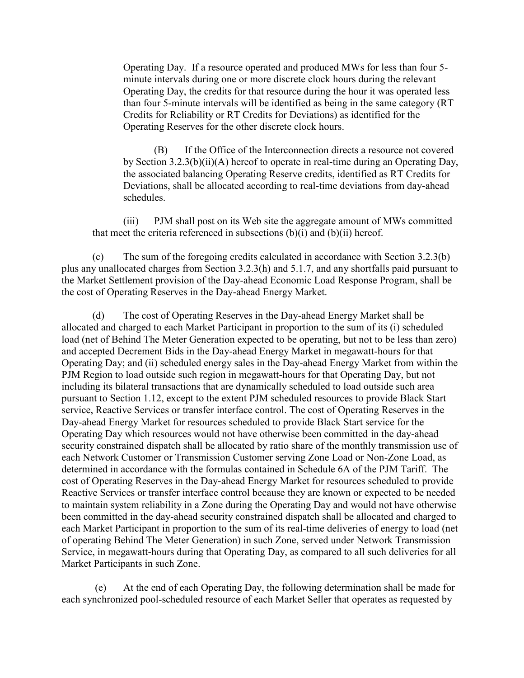Operating Day. If a resource operated and produced MWs for less than four 5 minute intervals during one or more discrete clock hours during the relevant Operating Day, the credits for that resource during the hour it was operated less than four 5-minute intervals will be identified as being in the same category (RT Credits for Reliability or RT Credits for Deviations) as identified for the Operating Reserves for the other discrete clock hours.

(B) If the Office of the Interconnection directs a resource not covered by Section 3.2.3(b)(ii)(A) hereof to operate in real-time during an Operating Day, the associated balancing Operating Reserve credits, identified as RT Credits for Deviations, shall be allocated according to real-time deviations from day-ahead schedules.

(iii) PJM shall post on its Web site the aggregate amount of MWs committed that meet the criteria referenced in subsections  $(b)(i)$  and  $(b)(ii)$  hereof.

 (c) The sum of the foregoing credits calculated in accordance with Section 3.2.3(b) plus any unallocated charges from Section 3.2.3(h) and 5.1.7, and any shortfalls paid pursuant to the Market Settlement provision of the Day-ahead Economic Load Response Program, shall be the cost of Operating Reserves in the Day-ahead Energy Market.

 (d) The cost of Operating Reserves in the Day-ahead Energy Market shall be allocated and charged to each Market Participant in proportion to the sum of its (i) scheduled load (net of Behind The Meter Generation expected to be operating, but not to be less than zero) and accepted Decrement Bids in the Day-ahead Energy Market in megawatt-hours for that Operating Day; and (ii) scheduled energy sales in the Day-ahead Energy Market from within the PJM Region to load outside such region in megawatt-hours for that Operating Day, but not including its bilateral transactions that are dynamically scheduled to load outside such area pursuant to Section 1.12, except to the extent PJM scheduled resources to provide Black Start service, Reactive Services or transfer interface control. The cost of Operating Reserves in the Day-ahead Energy Market for resources scheduled to provide Black Start service for the Operating Day which resources would not have otherwise been committed in the day-ahead security constrained dispatch shall be allocated by ratio share of the monthly transmission use of each Network Customer or Transmission Customer serving Zone Load or Non-Zone Load, as determined in accordance with the formulas contained in Schedule 6A of the PJM Tariff. The cost of Operating Reserves in the Day-ahead Energy Market for resources scheduled to provide Reactive Services or transfer interface control because they are known or expected to be needed to maintain system reliability in a Zone during the Operating Day and would not have otherwise been committed in the day-ahead security constrained dispatch shall be allocated and charged to each Market Participant in proportion to the sum of its real-time deliveries of energy to load (net of operating Behind The Meter Generation) in such Zone, served under Network Transmission Service, in megawatt-hours during that Operating Day, as compared to all such deliveries for all Market Participants in such Zone.

 (e) At the end of each Operating Day, the following determination shall be made for each synchronized pool-scheduled resource of each Market Seller that operates as requested by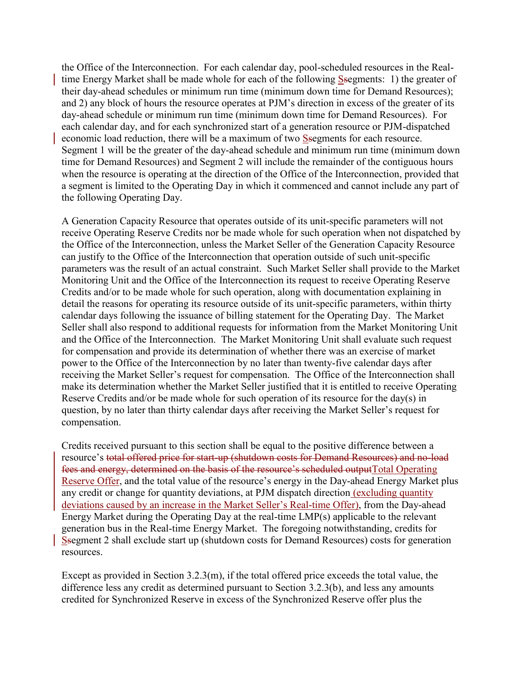the Office of the Interconnection. For each calendar day, pool-scheduled resources in the Realtime Energy Market shall be made whole for each of the following Ssegments: 1) the greater of their day-ahead schedules or minimum run time (minimum down time for Demand Resources); and 2) any block of hours the resource operates at PJM's direction in excess of the greater of its day-ahead schedule or minimum run time (minimum down time for Demand Resources). For each calendar day, and for each synchronized start of a generation resource or PJM-dispatched economic load reduction, there will be a maximum of two Ssegments for each resource. Segment 1 will be the greater of the day-ahead schedule and minimum run time (minimum down time for Demand Resources) and Segment 2 will include the remainder of the contiguous hours when the resource is operating at the direction of the Office of the Interconnection, provided that a segment is limited to the Operating Day in which it commenced and cannot include any part of the following Operating Day.

A Generation Capacity Resource that operates outside of its unit-specific parameters will not receive Operating Reserve Credits nor be made whole for such operation when not dispatched by the Office of the Interconnection, unless the Market Seller of the Generation Capacity Resource can justify to the Office of the Interconnection that operation outside of such unit-specific parameters was the result of an actual constraint. Such Market Seller shall provide to the Market Monitoring Unit and the Office of the Interconnection its request to receive Operating Reserve Credits and/or to be made whole for such operation, along with documentation explaining in detail the reasons for operating its resource outside of its unit-specific parameters, within thirty calendar days following the issuance of billing statement for the Operating Day. The Market Seller shall also respond to additional requests for information from the Market Monitoring Unit and the Office of the Interconnection. The Market Monitoring Unit shall evaluate such request for compensation and provide its determination of whether there was an exercise of market power to the Office of the Interconnection by no later than twenty-five calendar days after receiving the Market Seller's request for compensation. The Office of the Interconnection shall make its determination whether the Market Seller justified that it is entitled to receive Operating Reserve Credits and/or be made whole for such operation of its resource for the day(s) in question, by no later than thirty calendar days after receiving the Market Seller's request for compensation.

Credits received pursuant to this section shall be equal to the positive difference between a resource's total offered price for start-up (shutdown costs for Demand Resources) and no-load fees and energy, determined on the basis of the resource's scheduled outputTotal Operating Reserve Offer, and the total value of the resource's energy in the Day-ahead Energy Market plus any credit or change for quantity deviations, at PJM dispatch direction (excluding quantity deviations caused by an increase in the Market Seller's Real-time Offer), from the Day-ahead Energy Market during the Operating Day at the real-time LMP(s) applicable to the relevant generation bus in the Real-time Energy Market. The foregoing notwithstanding, credits for Ssegment 2 shall exclude start up (shutdown costs for Demand Resources) costs for generation resources.

Except as provided in Section 3.2.3(m), if the total offered price exceeds the total value, the difference less any credit as determined pursuant to Section 3.2.3(b), and less any amounts credited for Synchronized Reserve in excess of the Synchronized Reserve offer plus the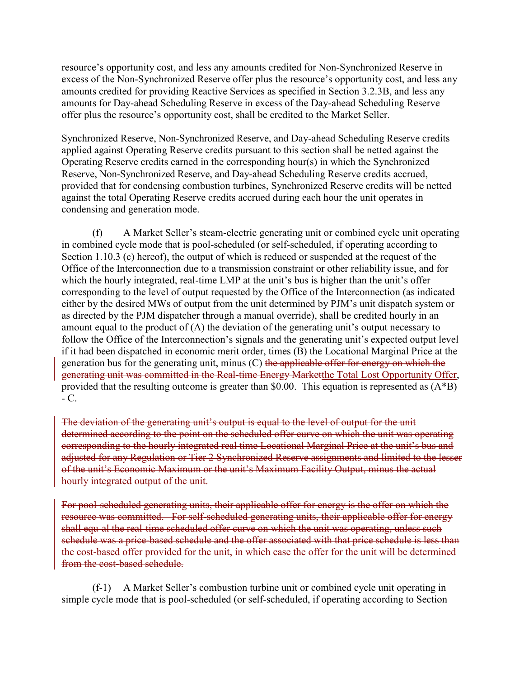resource's opportunity cost, and less any amounts credited for Non-Synchronized Reserve in excess of the Non-Synchronized Reserve offer plus the resource's opportunity cost, and less any amounts credited for providing Reactive Services as specified in Section 3.2.3B, and less any amounts for Day-ahead Scheduling Reserve in excess of the Day-ahead Scheduling Reserve offer plus the resource's opportunity cost, shall be credited to the Market Seller.

Synchronized Reserve, Non-Synchronized Reserve, and Day-ahead Scheduling Reserve credits applied against Operating Reserve credits pursuant to this section shall be netted against the Operating Reserve credits earned in the corresponding hour(s) in which the Synchronized Reserve, Non-Synchronized Reserve, and Day-ahead Scheduling Reserve credits accrued, provided that for condensing combustion turbines, Synchronized Reserve credits will be netted against the total Operating Reserve credits accrued during each hour the unit operates in condensing and generation mode.

(f) A Market Seller's steam-electric generating unit or combined cycle unit operating in combined cycle mode that is pool-scheduled (or self-scheduled, if operating according to Section 1.10.3 (c) hereof), the output of which is reduced or suspended at the request of the Office of the Interconnection due to a transmission constraint or other reliability issue, and for which the hourly integrated, real-time LMP at the unit's bus is higher than the unit's offer corresponding to the level of output requested by the Office of the Interconnection (as indicated either by the desired MWs of output from the unit determined by PJM's unit dispatch system or as directed by the PJM dispatcher through a manual override), shall be credited hourly in an amount equal to the product of  $(A)$  the deviation of the generating unit's output necessary to follow the Office of the Interconnection's signals and the generating unit's expected output level if it had been dispatched in economic merit order, times (B) the Locational Marginal Price at the generation bus for the generating unit, minus  $(C)$  the applicable offer for energy on which the generating unit was committed in the Real-time Energy Marketthe Total Lost Opportunity Offer, provided that the resulting outcome is greater than \$0.00. This equation is represented as (A\*B)  $-C<sub>1</sub>$ 

The deviation of the generating unit's output is equal to the level of output for the unit determined according to the point on the scheduled offer curve on which the unit was operating corresponding to the hourly integrated real time Locational Marginal Price at the unit's bus and adjusted for any Regulation or Tier 2 Synchronized Reserve assignments and limited to the lesser of the unit's Economic Maximum or the unit's Maximum Facility Output, minus the actual hourly integrated output of the unit.

For pool-scheduled generating units, their applicable offer for energy is the offer on which the resource was committed. For self-scheduled generating units, their applicable offer for energy shall equ-al the real-time scheduled offer curve on which the unit was operating, unless such schedule was a price-based schedule and the offer associated with that price schedule is less than the cost-based offer provided for the unit, in which case the offer for the unit will be determined from the cost-based schedule.

(f-1) A Market Seller's combustion turbine unit or combined cycle unit operating in simple cycle mode that is pool-scheduled (or self-scheduled, if operating according to Section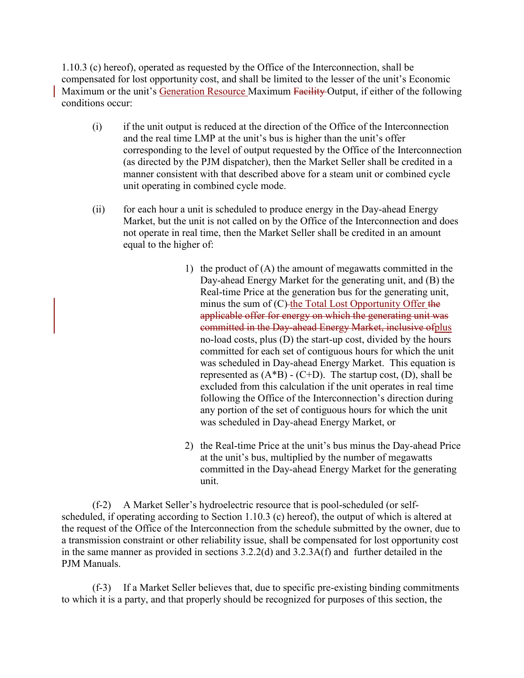1.10.3 (c) hereof), operated as requested by the Office of the Interconnection, shall be compensated for lost opportunity cost, and shall be limited to the lesser of the unit's Economic Maximum or the unit's Generation Resource Maximum Facility Output, if either of the following conditions occur:

- (i) if the unit output is reduced at the direction of the Office of the Interconnection and the real time LMP at the unit's bus is higher than the unit's offer corresponding to the level of output requested by the Office of the Interconnection (as directed by the PJM dispatcher), then the Market Seller shall be credited in a manner consistent with that described above for a steam unit or combined cycle unit operating in combined cycle mode.
- (ii) for each hour a unit is scheduled to produce energy in the Day-ahead Energy Market, but the unit is not called on by the Office of the Interconnection and does not operate in real time, then the Market Seller shall be credited in an amount equal to the higher of:
	- 1) the product of (A) the amount of megawatts committed in the Day-ahead Energy Market for the generating unit, and (B) the Real-time Price at the generation bus for the generating unit, minus the sum of (C)-the Total Lost Opportunity Offer the applicable offer for energy on which the generating unit was committed in the Day-ahead Energy Market, inclusive ofplus no-load costs, plus (D) the start-up cost, divided by the hours committed for each set of contiguous hours for which the unit was scheduled in Day-ahead Energy Market. This equation is represented as  $(A^*B)$  -  $(C+D)$ . The startup cost,  $(D)$ , shall be excluded from this calculation if the unit operates in real time following the Office of the Interconnection's direction during any portion of the set of contiguous hours for which the unit was scheduled in Day-ahead Energy Market, or
	- 2) the Real-time Price at the unit's bus minus the Day-ahead Price at the unit's bus, multiplied by the number of megawatts committed in the Day-ahead Energy Market for the generating unit.

(f-2) A Market Seller's hydroelectric resource that is pool-scheduled (or selfscheduled, if operating according to Section 1.10.3 (c) hereof), the output of which is altered at the request of the Office of the Interconnection from the schedule submitted by the owner, due to a transmission constraint or other reliability issue, shall be compensated for lost opportunity cost in the same manner as provided in sections 3.2.2(d) and 3.2.3A(f) and further detailed in the PJM Manuals.

(f-3) If a Market Seller believes that, due to specific pre-existing binding commitments to which it is a party, and that properly should be recognized for purposes of this section, the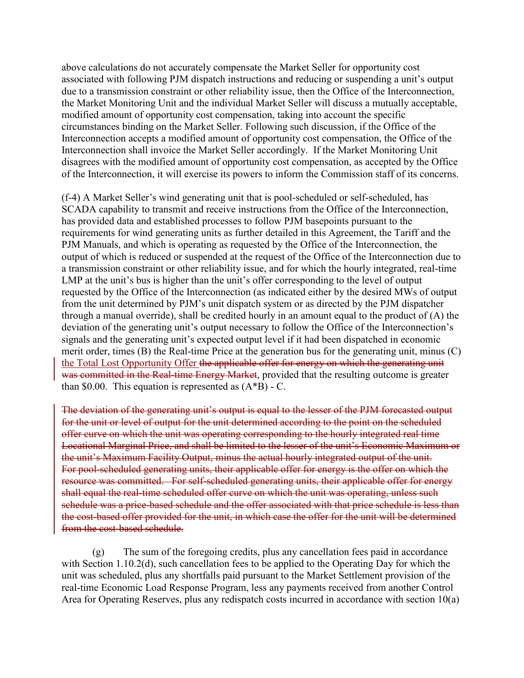above calculations do not accurately compensate the Market Seller for opportunity cost associated with following PJM dispatch instructions and reducing or suspending a unit's output due to a transmission constraint or other reliability issue, then the Office of the Interconnection, the Market Monitoring Unit and the individual Market Seller will discuss a mutually acceptable, modified amount of opportunity cost compensation, taking into account the specific circumstances binding on the Market Seller. Following such discussion, if the Office of the Interconnection accepts a modified amount of opportunity cost compensation, the Office of the Interconnection shall invoice the Market Seller accordingly. If the Market Monitoring Unit disagrees with the modified amount of opportunity cost compensation, as accepted by the Office of the Interconnection, it will exercise its powers to inform the Commission staff of its concerns.

(f-4) A Market Seller's wind generating unit that is pool-scheduled or self-scheduled, has SCADA capability to transmit and receive instructions from the Office of the Interconnection, has provided data and established processes to follow PJM basepoints pursuant to the requirements for wind generating units as further detailed in this Agreement, the Tariff and the PJM Manuals, and which is operating as requested by the Office of the Interconnection, the output of which is reduced or suspended at the request of the Office of the Interconnection due to a transmission constraint or other reliability issue, and for which the hourly integrated, real-time LMP at the unit's bus is higher than the unit's offer corresponding to the level of output requested by the Office of the Interconnection (as indicated either by the desired MWs of output from the unit determined by PJM's unit dispatch system or as directed by the PJM dispatcher through a manual override), shall be credited hourly in an amount equal to the product of (A) the deviation of the generating unit's output necessary to follow the Office of the Interconnection's signals and the generating unit's expected output level if it had been dispatched in economic merit order, times (B) the Real-time Price at the generation bus for the generating unit, minus (C) the Total Lost Opportunity Offer the applicable offer for energy on which the generating unit was committed in the Real-time Energy Market, provided that the resulting outcome is greater than \$0.00. This equation is represented as  $(A*B)$  - C.

The deviation of the generating unit's output is equal to the lesser of the PJM forecasted output for the unit or level of output for the unit determined according to the point on the scheduled offer curve on which the unit was operating corresponding to the hourly integrated real time Locational Marginal Price, and shall be limited to the lesser of the unit's Economic Maximum or the unit's Maximum Facility Output, minus the actual hourly integrated output of the unit. For pool-scheduled generating units, their applicable offer for energy is the offer on which the resource was committed. For self-scheduled generating units, their applicable offer for energy shall equal the real-time scheduled offer curve on which the unit was operating, unless such schedule was a price-based schedule and the offer associated with that price schedule is less than the cost-based offer provided for the unit, in which case the offer for the unit will be determined from the cost-based schedule.

 (g) The sum of the foregoing credits, plus any cancellation fees paid in accordance with Section 1.10.2(d), such cancellation fees to be applied to the Operating Day for which the unit was scheduled, plus any shortfalls paid pursuant to the Market Settlement provision of the real-time Economic Load Response Program, less any payments received from another Control Area for Operating Reserves, plus any redispatch costs incurred in accordance with section 10(a)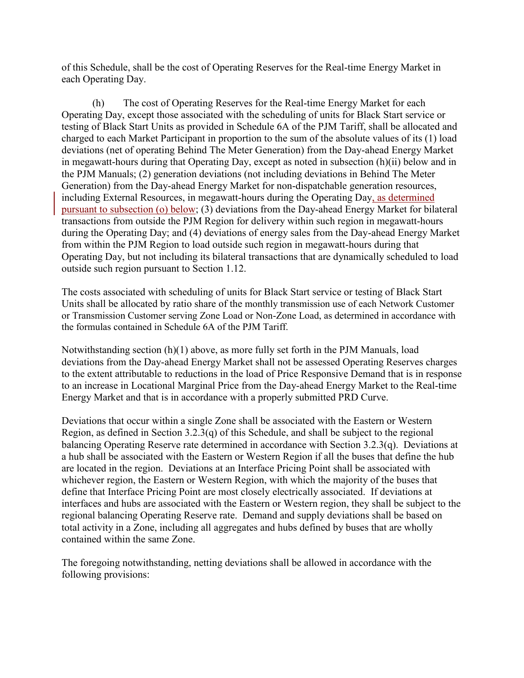of this Schedule, shall be the cost of Operating Reserves for the Real-time Energy Market in each Operating Day.

 (h) The cost of Operating Reserves for the Real-time Energy Market for each Operating Day, except those associated with the scheduling of units for Black Start service or testing of Black Start Units as provided in Schedule 6A of the PJM Tariff, shall be allocated and charged to each Market Participant in proportion to the sum of the absolute values of its (1) load deviations (net of operating Behind The Meter Generation) from the Day-ahead Energy Market in megawatt-hours during that Operating Day, except as noted in subsection (h)(ii) below and in the PJM Manuals; (2) generation deviations (not including deviations in Behind The Meter Generation) from the Day-ahead Energy Market for non-dispatchable generation resources, including External Resources, in megawatt-hours during the Operating Day, as determined pursuant to subsection (o) below; (3) deviations from the Day-ahead Energy Market for bilateral transactions from outside the PJM Region for delivery within such region in megawatt-hours during the Operating Day; and (4) deviations of energy sales from the Day-ahead Energy Market from within the PJM Region to load outside such region in megawatt-hours during that Operating Day, but not including its bilateral transactions that are dynamically scheduled to load outside such region pursuant to Section 1.12.

The costs associated with scheduling of units for Black Start service or testing of Black Start Units shall be allocated by ratio share of the monthly transmission use of each Network Customer or Transmission Customer serving Zone Load or Non-Zone Load, as determined in accordance with the formulas contained in Schedule 6A of the PJM Tariff.

Notwithstanding section (h)(1) above, as more fully set forth in the PJM Manuals, load deviations from the Day-ahead Energy Market shall not be assessed Operating Reserves charges to the extent attributable to reductions in the load of Price Responsive Demand that is in response to an increase in Locational Marginal Price from the Day-ahead Energy Market to the Real-time Energy Market and that is in accordance with a properly submitted PRD Curve.

Deviations that occur within a single Zone shall be associated with the Eastern or Western Region, as defined in Section 3.2.3(q) of this Schedule, and shall be subject to the regional balancing Operating Reserve rate determined in accordance with Section 3.2.3(q). Deviations at a hub shall be associated with the Eastern or Western Region if all the buses that define the hub are located in the region. Deviations at an Interface Pricing Point shall be associated with whichever region, the Eastern or Western Region, with which the majority of the buses that define that Interface Pricing Point are most closely electrically associated. If deviations at interfaces and hubs are associated with the Eastern or Western region, they shall be subject to the regional balancing Operating Reserve rate. Demand and supply deviations shall be based on total activity in a Zone, including all aggregates and hubs defined by buses that are wholly contained within the same Zone.

The foregoing notwithstanding, netting deviations shall be allowed in accordance with the following provisions: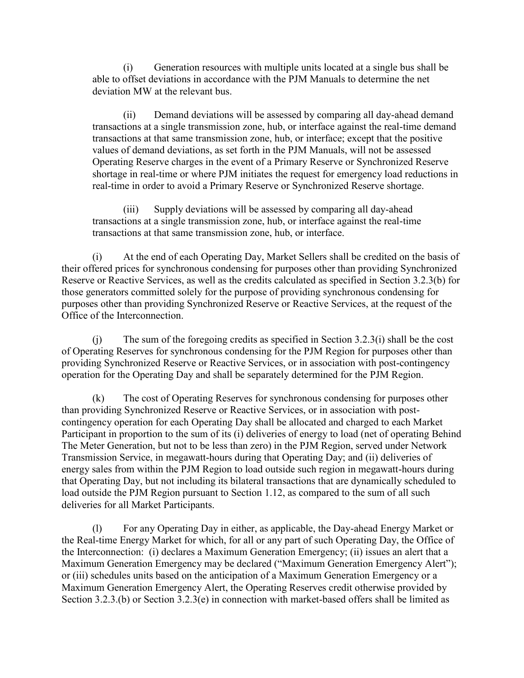(i) Generation resources with multiple units located at a single bus shall be able to offset deviations in accordance with the PJM Manuals to determine the net deviation MW at the relevant bus.

(ii) Demand deviations will be assessed by comparing all day-ahead demand transactions at a single transmission zone, hub, or interface against the real-time demand transactions at that same transmission zone, hub, or interface; except that the positive values of demand deviations, as set forth in the PJM Manuals, will not be assessed Operating Reserve charges in the event of a Primary Reserve or Synchronized Reserve shortage in real-time or where PJM initiates the request for emergency load reductions in real-time in order to avoid a Primary Reserve or Synchronized Reserve shortage.

(iii) Supply deviations will be assessed by comparing all day-ahead transactions at a single transmission zone, hub, or interface against the real-time transactions at that same transmission zone, hub, or interface.

 (i) At the end of each Operating Day, Market Sellers shall be credited on the basis of their offered prices for synchronous condensing for purposes other than providing Synchronized Reserve or Reactive Services, as well as the credits calculated as specified in Section 3.2.3(b) for those generators committed solely for the purpose of providing synchronous condensing for purposes other than providing Synchronized Reserve or Reactive Services, at the request of the Office of the Interconnection.

 (j) The sum of the foregoing credits as specified in Section 3.2.3(i) shall be the cost of Operating Reserves for synchronous condensing for the PJM Region for purposes other than providing Synchronized Reserve or Reactive Services, or in association with post-contingency operation for the Operating Day and shall be separately determined for the PJM Region.

 (k) The cost of Operating Reserves for synchronous condensing for purposes other than providing Synchronized Reserve or Reactive Services, or in association with postcontingency operation for each Operating Day shall be allocated and charged to each Market Participant in proportion to the sum of its (i) deliveries of energy to load (net of operating Behind The Meter Generation, but not to be less than zero) in the PJM Region, served under Network Transmission Service, in megawatt-hours during that Operating Day; and (ii) deliveries of energy sales from within the PJM Region to load outside such region in megawatt-hours during that Operating Day, but not including its bilateral transactions that are dynamically scheduled to load outside the PJM Region pursuant to Section 1.12, as compared to the sum of all such deliveries for all Market Participants.

 (l) For any Operating Day in either, as applicable, the Day-ahead Energy Market or the Real-time Energy Market for which, for all or any part of such Operating Day, the Office of the Interconnection: (i) declares a Maximum Generation Emergency; (ii) issues an alert that a Maximum Generation Emergency may be declared ("Maximum Generation Emergency Alert"); or (iii) schedules units based on the anticipation of a Maximum Generation Emergency or a Maximum Generation Emergency Alert, the Operating Reserves credit otherwise provided by Section 3.2.3.(b) or Section 3.2.3(e) in connection with market-based offers shall be limited as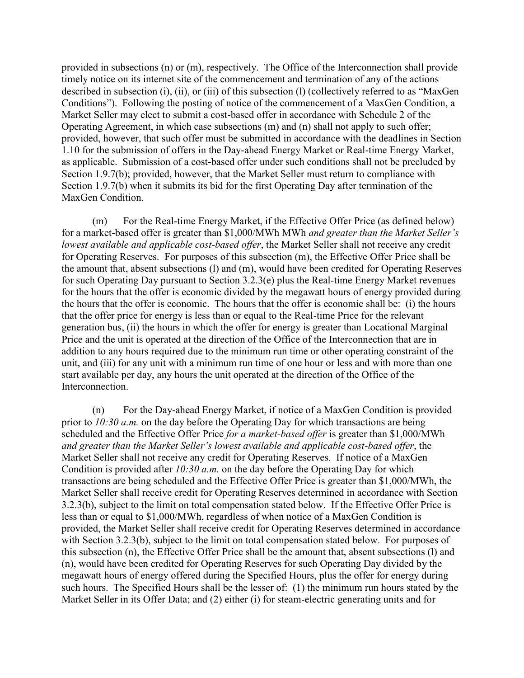provided in subsections (n) or (m), respectively. The Office of the Interconnection shall provide timely notice on its internet site of the commencement and termination of any of the actions described in subsection (i), (ii), or (iii) of this subsection (l) (collectively referred to as "MaxGen Conditions"). Following the posting of notice of the commencement of a MaxGen Condition, a Market Seller may elect to submit a cost-based offer in accordance with Schedule 2 of the Operating Agreement, in which case subsections (m) and (n) shall not apply to such offer; provided, however, that such offer must be submitted in accordance with the deadlines in Section 1.10 for the submission of offers in the Day-ahead Energy Market or Real-time Energy Market, as applicable. Submission of a cost-based offer under such conditions shall not be precluded by Section 1.9.7(b); provided, however, that the Market Seller must return to compliance with Section 1.9.7(b) when it submits its bid for the first Operating Day after termination of the MaxGen Condition.

 (m) For the Real-time Energy Market, if the Effective Offer Price (as defined below) for a market-based offer is greater than \$1,000/MWh MWh *and greater than the Market Seller's lowest available and applicable cost-based offer*, the Market Seller shall not receive any credit for Operating Reserves. For purposes of this subsection (m), the Effective Offer Price shall be the amount that, absent subsections (l) and (m), would have been credited for Operating Reserves for such Operating Day pursuant to Section 3.2.3(e) plus the Real-time Energy Market revenues for the hours that the offer is economic divided by the megawatt hours of energy provided during the hours that the offer is economic. The hours that the offer is economic shall be: (i) the hours that the offer price for energy is less than or equal to the Real-time Price for the relevant generation bus, (ii) the hours in which the offer for energy is greater than Locational Marginal Price and the unit is operated at the direction of the Office of the Interconnection that are in addition to any hours required due to the minimum run time or other operating constraint of the unit, and (iii) for any unit with a minimum run time of one hour or less and with more than one start available per day, any hours the unit operated at the direction of the Office of the Interconnection.

 (n) For the Day-ahead Energy Market, if notice of a MaxGen Condition is provided prior to *10:30 a.m.* on the day before the Operating Day for which transactions are being scheduled and the Effective Offer Price *for a market-based offer* is greater than \$1,000/MWh *and greater than the Market Seller's lowest available and applicable cost-based offer*, the Market Seller shall not receive any credit for Operating Reserves. If notice of a MaxGen Condition is provided after *10:30 a.m.* on the day before the Operating Day for which transactions are being scheduled and the Effective Offer Price is greater than \$1,000/MWh, the Market Seller shall receive credit for Operating Reserves determined in accordance with Section 3.2.3(b), subject to the limit on total compensation stated below. If the Effective Offer Price is less than or equal to \$1,000/MWh, regardless of when notice of a MaxGen Condition is provided, the Market Seller shall receive credit for Operating Reserves determined in accordance with Section 3.2.3(b), subject to the limit on total compensation stated below. For purposes of this subsection (n), the Effective Offer Price shall be the amount that, absent subsections (l) and (n), would have been credited for Operating Reserves for such Operating Day divided by the megawatt hours of energy offered during the Specified Hours, plus the offer for energy during such hours. The Specified Hours shall be the lesser of: (1) the minimum run hours stated by the Market Seller in its Offer Data; and (2) either (i) for steam-electric generating units and for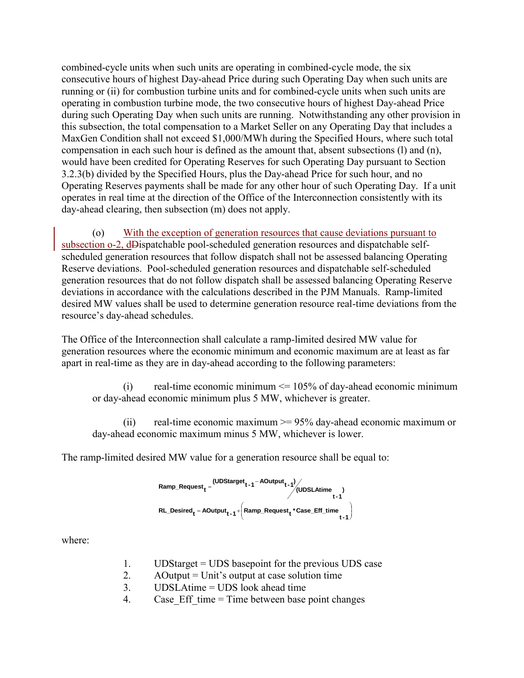combined-cycle units when such units are operating in combined-cycle mode, the six consecutive hours of highest Day-ahead Price during such Operating Day when such units are running or (ii) for combustion turbine units and for combined-cycle units when such units are operating in combustion turbine mode, the two consecutive hours of highest Day-ahead Price during such Operating Day when such units are running. Notwithstanding any other provision in this subsection, the total compensation to a Market Seller on any Operating Day that includes a MaxGen Condition shall not exceed \$1,000/MWh during the Specified Hours, where such total compensation in each such hour is defined as the amount that, absent subsections (l) and (n), would have been credited for Operating Reserves for such Operating Day pursuant to Section 3.2.3(b) divided by the Specified Hours, plus the Day-ahead Price for such hour, and no Operating Reserves payments shall be made for any other hour of such Operating Day. If a unit operates in real time at the direction of the Office of the Interconnection consistently with its day-ahead clearing, then subsection (m) does not apply.

 (o) With the exception of generation resources that cause deviations pursuant to subsection o-2, dDispatchable pool-scheduled generation resources and dispatchable selfscheduled generation resources that follow dispatch shall not be assessed balancing Operating Reserve deviations. Pool-scheduled generation resources and dispatchable self-scheduled generation resources that do not follow dispatch shall be assessed balancing Operating Reserve deviations in accordance with the calculations described in the PJM Manuals. Ramp-limited desired MW values shall be used to determine generation resource real-time deviations from the resource's day-ahead schedules.

The Office of the Interconnection shall calculate a ramp-limited desired MW value for generation resources where the economic minimum and economic maximum are at least as far apart in real-time as they are in day-ahead according to the following parameters:

(i) real-time economic minimum  $\leq$  105% of day-ahead economic minimum or day-ahead economic minimum plus 5 MW, whichever is greater.

(ii) real-time economic maximum  $\ge$  = 95% day-ahead economic maximum or day-ahead economic maximum minus 5 MW, whichever is lower.

The ramp-limited desired MW value for a generation resource shall be equal to:

$$
Ramp\_Request_t = \frac{(UDStage_{t-1} - AOutput_{t-1})}{(UDSLAtime)}\tag{UDSLAtime} \begin{pmatrix} t-1 \\ t-1 \end{pmatrix}
$$
  
RL\_Desired<sub>t</sub> = AOutput<sub>t-1</sub> +  $\left(Ramp\_Request_t * Case\_Eff\_time_{t-1}\right)$ 

where:

- 1. UDStarget = UDS basepoint for the previous UDS case
- 2. AOutput = Unit's output at case solution time
- 3. UDSLAtime = UDS look ahead time
- 4. Case Eff time = Time between base point changes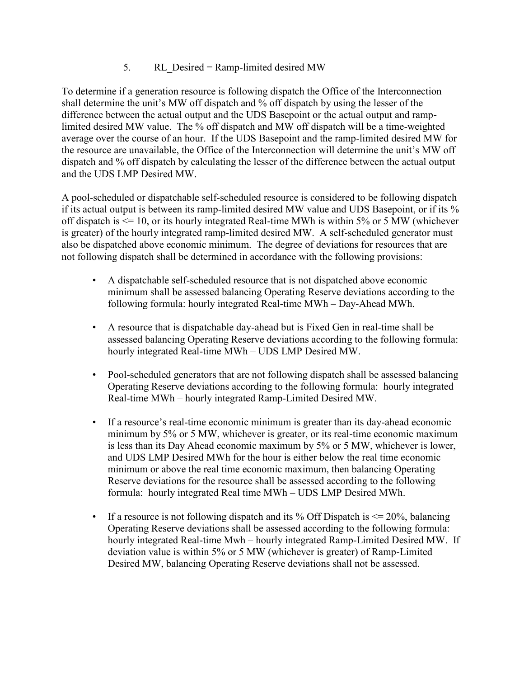# 5. RL\_Desired = Ramp-limited desired MW

To determine if a generation resource is following dispatch the Office of the Interconnection shall determine the unit's MW off dispatch and % off dispatch by using the lesser of the difference between the actual output and the UDS Basepoint or the actual output and ramplimited desired MW value. The % off dispatch and MW off dispatch will be a time-weighted average over the course of an hour. If the UDS Basepoint and the ramp-limited desired MW for the resource are unavailable, the Office of the Interconnection will determine the unit's MW off dispatch and % off dispatch by calculating the lesser of the difference between the actual output and the UDS LMP Desired MW.

A pool-scheduled or dispatchable self-scheduled resource is considered to be following dispatch if its actual output is between its ramp-limited desired MW value and UDS Basepoint, or if its % off dispatch is <= 10, or its hourly integrated Real-time MWh is within 5% or 5 MW (whichever is greater) of the hourly integrated ramp-limited desired MW. A self-scheduled generator must also be dispatched above economic minimum. The degree of deviations for resources that are not following dispatch shall be determined in accordance with the following provisions:

- A dispatchable self-scheduled resource that is not dispatched above economic minimum shall be assessed balancing Operating Reserve deviations according to the following formula: hourly integrated Real-time MWh – Day-Ahead MWh.
- A resource that is dispatchable day-ahead but is Fixed Gen in real-time shall be assessed balancing Operating Reserve deviations according to the following formula: hourly integrated Real-time MWh – UDS LMP Desired MW.
- Pool-scheduled generators that are not following dispatch shall be assessed balancing Operating Reserve deviations according to the following formula: hourly integrated Real-time MWh – hourly integrated Ramp-Limited Desired MW.
- If a resource's real-time economic minimum is greater than its day-ahead economic minimum by 5% or 5 MW, whichever is greater, or its real-time economic maximum is less than its Day Ahead economic maximum by 5% or 5 MW, whichever is lower, and UDS LMP Desired MWh for the hour is either below the real time economic minimum or above the real time economic maximum, then balancing Operating Reserve deviations for the resource shall be assessed according to the following formula: hourly integrated Real time MWh – UDS LMP Desired MWh.
- If a resource is not following dispatch and its % Off Dispatch is  $\leq$  20%, balancing Operating Reserve deviations shall be assessed according to the following formula: hourly integrated Real-time Mwh – hourly integrated Ramp-Limited Desired MW. If deviation value is within 5% or 5 MW (whichever is greater) of Ramp-Limited Desired MW, balancing Operating Reserve deviations shall not be assessed.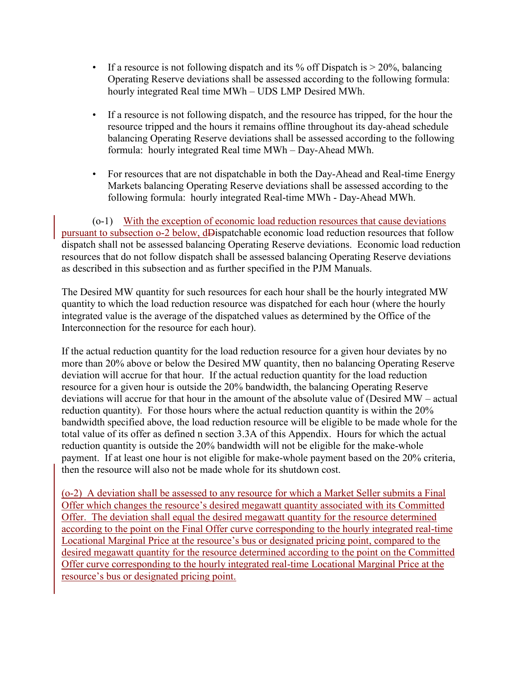- If a resource is not following dispatch and its % off Dispatch is  $> 20\%$ , balancing Operating Reserve deviations shall be assessed according to the following formula: hourly integrated Real time MWh – UDS LMP Desired MWh.
- If a resource is not following dispatch, and the resource has tripped, for the hour the resource tripped and the hours it remains offline throughout its day-ahead schedule balancing Operating Reserve deviations shall be assessed according to the following formula: hourly integrated Real time MWh – Day-Ahead MWh.
- For resources that are not dispatchable in both the Day-Ahead and Real-time Energy Markets balancing Operating Reserve deviations shall be assessed according to the following formula: hourly integrated Real-time MWh - Day-Ahead MWh.

(o-1) With the exception of economic load reduction resources that cause deviations pursuant to subsection o-2 below, dDispatchable economic load reduction resources that follow dispatch shall not be assessed balancing Operating Reserve deviations. Economic load reduction resources that do not follow dispatch shall be assessed balancing Operating Reserve deviations as described in this subsection and as further specified in the PJM Manuals.

The Desired MW quantity for such resources for each hour shall be the hourly integrated MW quantity to which the load reduction resource was dispatched for each hour (where the hourly integrated value is the average of the dispatched values as determined by the Office of the Interconnection for the resource for each hour).

If the actual reduction quantity for the load reduction resource for a given hour deviates by no more than 20% above or below the Desired MW quantity, then no balancing Operating Reserve deviation will accrue for that hour. If the actual reduction quantity for the load reduction resource for a given hour is outside the 20% bandwidth, the balancing Operating Reserve deviations will accrue for that hour in the amount of the absolute value of (Desired MW – actual reduction quantity). For those hours where the actual reduction quantity is within the 20% bandwidth specified above, the load reduction resource will be eligible to be made whole for the total value of its offer as defined n section 3.3A of this Appendix. Hours for which the actual reduction quantity is outside the 20% bandwidth will not be eligible for the make-whole payment. If at least one hour is not eligible for make-whole payment based on the 20% criteria, then the resource will also not be made whole for its shutdown cost.

(o-2) A deviation shall be assessed to any resource for which a Market Seller submits a Final Offer which changes the resource's desired megawatt quantity associated with its Committed Offer. The deviation shall equal the desired megawatt quantity for the resource determined according to the point on the Final Offer curve corresponding to the hourly integrated real-time Locational Marginal Price at the resource's bus or designated pricing point, compared to the desired megawatt quantity for the resource determined according to the point on the Committed Offer curve corresponding to the hourly integrated real-time Locational Marginal Price at the resource's bus or designated pricing point.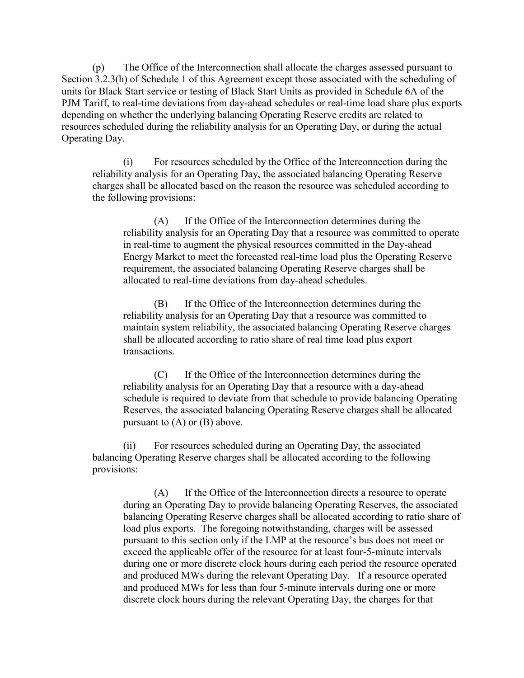(p) The Office of the Interconnection shall allocate the charges assessed pursuant to Section 3.2.3(h) of Schedule 1 of this Agreement except those associated with the scheduling of units for Black Start service or testing of Black Start Units as provided in Schedule 6A of the PJM Tariff, to real-time deviations from day-ahead schedules or real-time load share plus exports depending on whether the underlying balancing Operating Reserve credits are related to resources scheduled during the reliability analysis for an Operating Day, or during the actual Operating Day.

(i) For resources scheduled by the Office of the Interconnection during the reliability analysis for an Operating Day, the associated balancing Operating Reserve charges shall be allocated based on the reason the resource was scheduled according to the following provisions:

(A) If the Office of the Interconnection determines during the reliability analysis for an Operating Day that a resource was committed to operate in real-time to augment the physical resources committed in the Day-ahead Energy Market to meet the forecasted real-time load plus the Operating Reserve requirement, the associated balancing Operating Reserve charges shall be allocated to real-time deviations from day-ahead schedules.

(B) If the Office of the Interconnection determines during the reliability analysis for an Operating Day that a resource was committed to maintain system reliability, the associated balancing Operating Reserve charges shall be allocated according to ratio share of real time load plus export transactions.

(C) If the Office of the Interconnection determines during the reliability analysis for an Operating Day that a resource with a day-ahead schedule is required to deviate from that schedule to provide balancing Operating Reserves, the associated balancing Operating Reserve charges shall be allocated pursuant to (A) or (B) above.

(ii) For resources scheduled during an Operating Day, the associated balancing Operating Reserve charges shall be allocated according to the following provisions:

(A) If the Office of the Interconnection directs a resource to operate during an Operating Day to provide balancing Operating Reserves, the associated balancing Operating Reserve charges shall be allocated according to ratio share of load plus exports. The foregoing notwithstanding, charges will be assessed pursuant to this section only if the LMP at the resource's bus does not meet or exceed the applicable offer of the resource for at least four-5-minute intervals during one or more discrete clock hours during each period the resource operated and produced MWs during the relevant Operating Day. If a resource operated and produced MWs for less than four 5-minute intervals during one or more discrete clock hours during the relevant Operating Day, the charges for that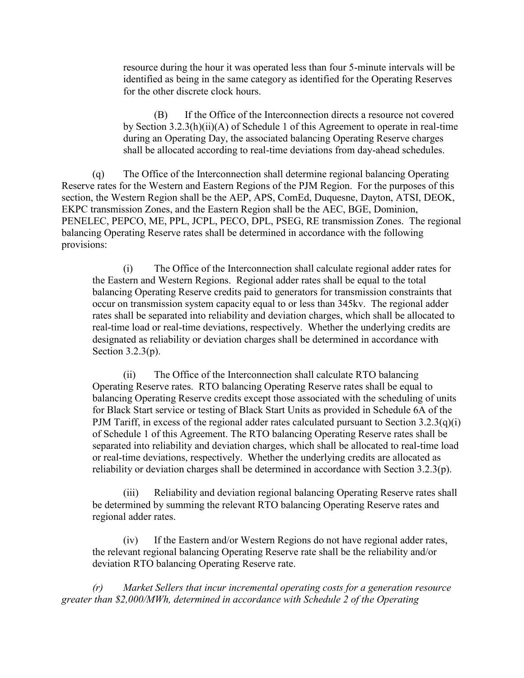resource during the hour it was operated less than four 5-minute intervals will be identified as being in the same category as identified for the Operating Reserves for the other discrete clock hours.

(B) If the Office of the Interconnection directs a resource not covered by Section 3.2.3(h)(ii)(A) of Schedule 1 of this Agreement to operate in real-time during an Operating Day, the associated balancing Operating Reserve charges shall be allocated according to real-time deviations from day-ahead schedules.

 (q) The Office of the Interconnection shall determine regional balancing Operating Reserve rates for the Western and Eastern Regions of the PJM Region. For the purposes of this section, the Western Region shall be the AEP, APS, ComEd, Duquesne, Dayton, ATSI, DEOK, EKPC transmission Zones, and the Eastern Region shall be the AEC, BGE, Dominion, PENELEC, PEPCO, ME, PPL, JCPL, PECO, DPL, PSEG, RE transmission Zones. The regional balancing Operating Reserve rates shall be determined in accordance with the following provisions:

(i) The Office of the Interconnection shall calculate regional adder rates for the Eastern and Western Regions. Regional adder rates shall be equal to the total balancing Operating Reserve credits paid to generators for transmission constraints that occur on transmission system capacity equal to or less than 345kv. The regional adder rates shall be separated into reliability and deviation charges, which shall be allocated to real-time load or real-time deviations, respectively. Whether the underlying credits are designated as reliability or deviation charges shall be determined in accordance with Section 3.2.3(p).

(ii) The Office of the Interconnection shall calculate RTO balancing Operating Reserve rates. RTO balancing Operating Reserve rates shall be equal to balancing Operating Reserve credits except those associated with the scheduling of units for Black Start service or testing of Black Start Units as provided in Schedule 6A of the PJM Tariff, in excess of the regional adder rates calculated pursuant to Section  $3.2.3(q)(i)$ of Schedule 1 of this Agreement. The RTO balancing Operating Reserve rates shall be separated into reliability and deviation charges, which shall be allocated to real-time load or real-time deviations, respectively. Whether the underlying credits are allocated as reliability or deviation charges shall be determined in accordance with Section 3.2.3(p).

(iii) Reliability and deviation regional balancing Operating Reserve rates shall be determined by summing the relevant RTO balancing Operating Reserve rates and regional adder rates.

(iv) If the Eastern and/or Western Regions do not have regional adder rates, the relevant regional balancing Operating Reserve rate shall be the reliability and/or deviation RTO balancing Operating Reserve rate.

*(r) Market Sellers that incur incremental operating costs for a generation resource greater than \$2,000/MWh, determined in accordance with Schedule 2 of the Operating*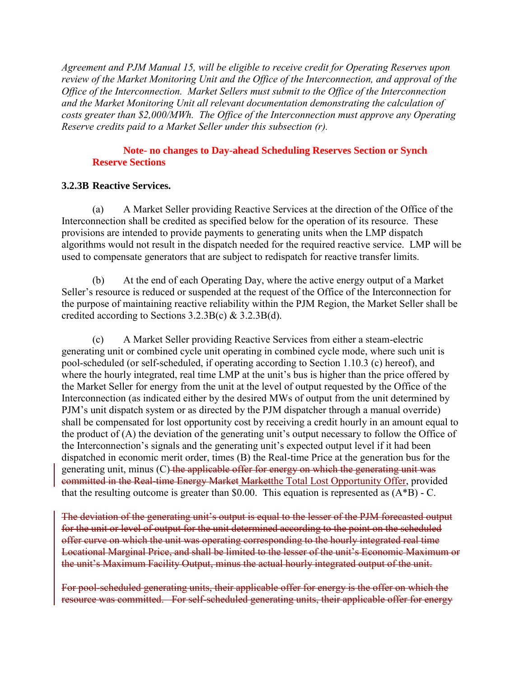*Agreement and PJM Manual 15, will be eligible to receive credit for Operating Reserves upon review of the Market Monitoring Unit and the Office of the Interconnection, and approval of the Office of the Interconnection. Market Sellers must submit to the Office of the Interconnection and the Market Monitoring Unit all relevant documentation demonstrating the calculation of costs greater than \$2,000/MWh. The Office of the Interconnection must approve any Operating Reserve credits paid to a Market Seller under this subsection (r).* 

#### **Note- no changes to Day-ahead Scheduling Reserves Section or Synch Reserve Sections**

### **3.2.3B Reactive Services.**

 (a) A Market Seller providing Reactive Services at the direction of the Office of the Interconnection shall be credited as specified below for the operation of its resource. These provisions are intended to provide payments to generating units when the LMP dispatch algorithms would not result in the dispatch needed for the required reactive service. LMP will be used to compensate generators that are subject to redispatch for reactive transfer limits.

 (b) At the end of each Operating Day, where the active energy output of a Market Seller's resource is reduced or suspended at the request of the Office of the Interconnection for the purpose of maintaining reactive reliability within the PJM Region, the Market Seller shall be credited according to Sections 3.2.3B(c) & 3.2.3B(d).

 (c) A Market Seller providing Reactive Services from either a steam-electric generating unit or combined cycle unit operating in combined cycle mode, where such unit is pool-scheduled (or self-scheduled, if operating according to Section 1.10.3 (c) hereof), and where the hourly integrated, real time LMP at the unit's bus is higher than the price offered by the Market Seller for energy from the unit at the level of output requested by the Office of the Interconnection (as indicated either by the desired MWs of output from the unit determined by PJM's unit dispatch system or as directed by the PJM dispatcher through a manual override) shall be compensated for lost opportunity cost by receiving a credit hourly in an amount equal to the product of (A) the deviation of the generating unit's output necessary to follow the Office of the Interconnection's signals and the generating unit's expected output level if it had been dispatched in economic merit order, times (B) the Real-time Price at the generation bus for the generating unit, minus (C) the applicable offer for energy on which the generating unit was committed in the Real-time Energy Market Marketthe Total Lost Opportunity Offer, provided that the resulting outcome is greater than \$0.00. This equation is represented as  $(A*B)$  - C.

The deviation of the generating unit's output is equal to the lesser of the PJM forecasted output for the unit or level of output for the unit determined according to the point on the scheduled offer curve on which the unit was operating corresponding to the hourly integrated real time Locational Marginal Price, and shall be limited to the lesser of the unit's Economic Maximum or the unit's Maximum Facility Output, minus the actual hourly integrated output of the unit.

For pool-scheduled generating units, their applicable offer for energy is the offer on which the resource was committed. For self-scheduled generating units, their applicable offer for energy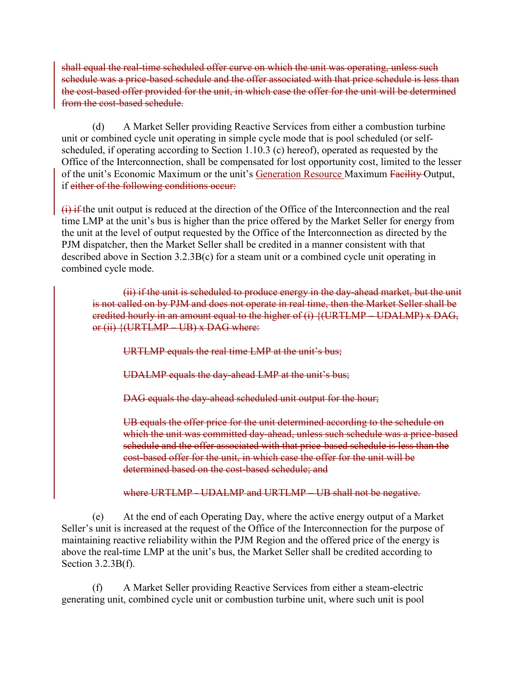shall equal the real-time scheduled offer curve on which the unit was operating, unless such schedule was a price-based schedule and the offer associated with that price schedule is less than the cost-based offer provided for the unit, in which case the offer for the unit will be determined from the cost-based schedule.

 (d) A Market Seller providing Reactive Services from either a combustion turbine unit or combined cycle unit operating in simple cycle mode that is pool scheduled (or selfscheduled, if operating according to Section 1.10.3 (c) hereof), operated as requested by the Office of the Interconnection, shall be compensated for lost opportunity cost, limited to the lesser of the unit's Economic Maximum or the unit's Generation Resource Maximum Facility Output, if either of the following conditions occur:

(i) if the unit output is reduced at the direction of the Office of the Interconnection and the real time LMP at the unit's bus is higher than the price offered by the Market Seller for energy from the unit at the level of output requested by the Office of the Interconnection as directed by the PJM dispatcher, then the Market Seller shall be credited in a manner consistent with that described above in Section 3.2.3B(c) for a steam unit or a combined cycle unit operating in combined cycle mode.

(ii) if the unit is scheduled to produce energy in the day-ahead market, but the unit is not called on by PJM and does not operate in real time, then the Market Seller shall be credited hourly in an amount equal to the higher of (i) {(URTLMP – UDALMP) x DAG, or  $(ii)$   $\{(\text{URTLMP} \quad \text{UB}) \times \text{DAG} \text{ where:}$ 

URTLMP equals the real time LMP at the unit's bus;

UDALMP equals the day-ahead LMP at the unit's bus;

DAG equals the day-ahead scheduled unit output for the hour;

UB equals the offer price for the unit determined according to the schedule on which the unit was committed day-ahead, unless such schedule was a price-based schedule and the offer associated with that price-based schedule is less than the cost-based offer for the unit, in which case the offer for the unit will be determined based on the cost-based schedule; and

where URTLMP - UDALMP and URTLMP – UB shall not be negative.

 (e) At the end of each Operating Day, where the active energy output of a Market Seller's unit is increased at the request of the Office of the Interconnection for the purpose of maintaining reactive reliability within the PJM Region and the offered price of the energy is above the real-time LMP at the unit's bus, the Market Seller shall be credited according to Section 3.2.3B(f).

(f) A Market Seller providing Reactive Services from either a steam-electric generating unit, combined cycle unit or combustion turbine unit, where such unit is pool